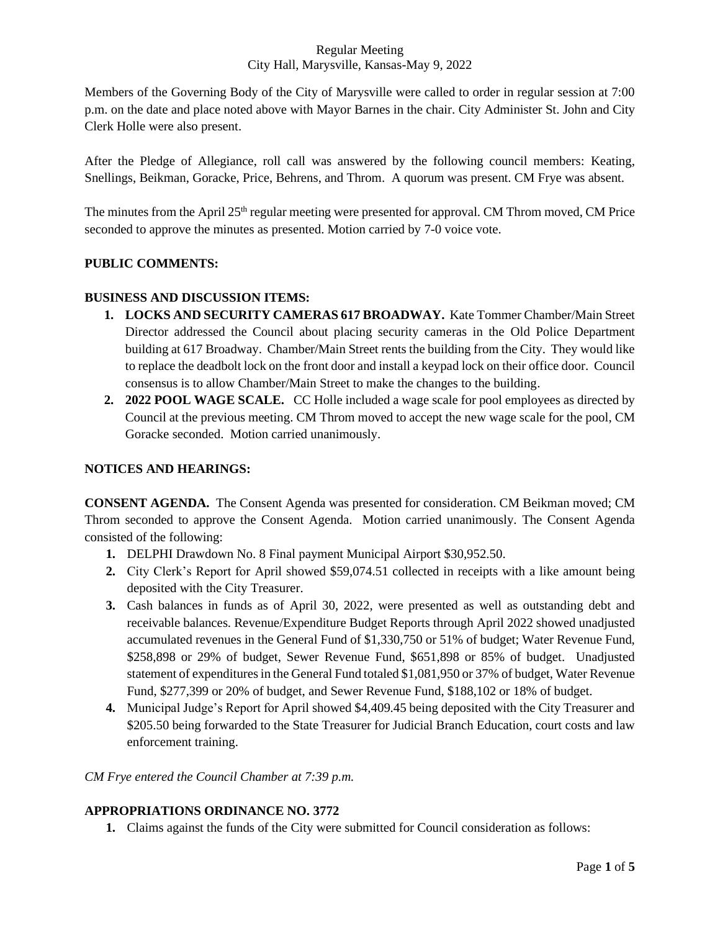### Regular Meeting City Hall, Marysville, Kansas-May 9, 2022

Members of the Governing Body of the City of Marysville were called to order in regular session at 7:00 p.m. on the date and place noted above with Mayor Barnes in the chair. City Administer St. John and City Clerk Holle were also present.

After the Pledge of Allegiance, roll call was answered by the following council members: Keating, Snellings, Beikman, Goracke, Price, Behrens, and Throm. A quorum was present. CM Frye was absent.

The minutes from the April 25<sup>th</sup> regular meeting were presented for approval. CM Throm moved, CM Price seconded to approve the minutes as presented. Motion carried by 7-0 voice vote.

## **PUBLIC COMMENTS:**

## **BUSINESS AND DISCUSSION ITEMS:**

- **1. LOCKS AND SECURITY CAMERAS 617 BROADWAY.** Kate Tommer Chamber/Main Street Director addressed the Council about placing security cameras in the Old Police Department building at 617 Broadway. Chamber/Main Street rents the building from the City. They would like to replace the deadbolt lock on the front door and install a keypad lock on their office door. Council consensus is to allow Chamber/Main Street to make the changes to the building.
- **2. 2022 POOL WAGE SCALE.** CC Holle included a wage scale for pool employees as directed by Council at the previous meeting. CM Throm moved to accept the new wage scale for the pool, CM Goracke seconded. Motion carried unanimously.

### **NOTICES AND HEARINGS:**

**CONSENT AGENDA.** The Consent Agenda was presented for consideration. CM Beikman moved; CM Throm seconded to approve the Consent Agenda. Motion carried unanimously. The Consent Agenda consisted of the following:

- **1.** DELPHI Drawdown No. 8 Final payment Municipal Airport \$30,952.50.
- **2.** City Clerk's Report for April showed \$59,074.51 collected in receipts with a like amount being deposited with the City Treasurer.
- **3.** Cash balances in funds as of April 30, 2022, were presented as well as outstanding debt and receivable balances. Revenue/Expenditure Budget Reports through April 2022 showed unadjusted accumulated revenues in the General Fund of \$1,330,750 or 51% of budget; Water Revenue Fund, \$258,898 or 29% of budget, Sewer Revenue Fund, \$651,898 or 85% of budget. Unadjusted statement of expenditures in the General Fund totaled \$1,081,950 or 37% of budget, Water Revenue Fund, \$277,399 or 20% of budget, and Sewer Revenue Fund, \$188,102 or 18% of budget.
- **4.** Municipal Judge's Report for April showed \$4,409.45 being deposited with the City Treasurer and \$205.50 being forwarded to the State Treasurer for Judicial Branch Education, court costs and law enforcement training.

*CM Frye entered the Council Chamber at 7:39 p.m.*

# **APPROPRIATIONS ORDINANCE NO. 3772**

**1.** Claims against the funds of the City were submitted for Council consideration as follows: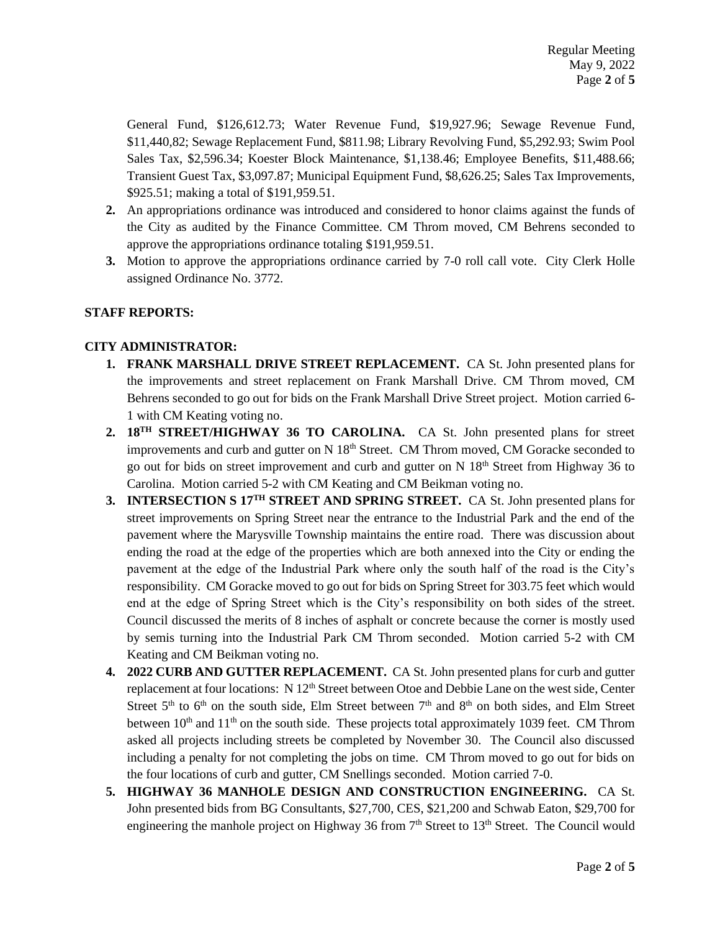General Fund, \$126,612.73; Water Revenue Fund, \$19,927.96; Sewage Revenue Fund, \$11,440,82; Sewage Replacement Fund, \$811.98; Library Revolving Fund, \$5,292.93; Swim Pool Sales Tax, \$2,596.34; Koester Block Maintenance, \$1,138.46; Employee Benefits, \$11,488.66; Transient Guest Tax, \$3,097.87; Municipal Equipment Fund, \$8,626.25; Sales Tax Improvements, \$925.51; making a total of \$191,959.51.

- **2.** An appropriations ordinance was introduced and considered to honor claims against the funds of the City as audited by the Finance Committee. CM Throm moved, CM Behrens seconded to approve the appropriations ordinance totaling \$191,959.51.
- **3.** Motion to approve the appropriations ordinance carried by 7-0 roll call vote. City Clerk Holle assigned Ordinance No. 3772.

## **STAFF REPORTS:**

## **CITY ADMINISTRATOR:**

- **1. FRANK MARSHALL DRIVE STREET REPLACEMENT.** CA St. John presented plans for the improvements and street replacement on Frank Marshall Drive. CM Throm moved, CM Behrens seconded to go out for bids on the Frank Marshall Drive Street project. Motion carried 6- 1 with CM Keating voting no.
- **2. 18TH STREET/HIGHWAY 36 TO CAROLINA.** CA St. John presented plans for street improvements and curb and gutter on N 18<sup>th</sup> Street. CM Throm moved, CM Goracke seconded to go out for bids on street improvement and curb and gutter on  $N 18<sup>th</sup>$  Street from Highway 36 to Carolina. Motion carried 5-2 with CM Keating and CM Beikman voting no.
- **3. INTERSECTION S 17TH STREET AND SPRING STREET.** CA St. John presented plans for street improvements on Spring Street near the entrance to the Industrial Park and the end of the pavement where the Marysville Township maintains the entire road. There was discussion about ending the road at the edge of the properties which are both annexed into the City or ending the pavement at the edge of the Industrial Park where only the south half of the road is the City's responsibility. CM Goracke moved to go out for bids on Spring Street for 303.75 feet which would end at the edge of Spring Street which is the City's responsibility on both sides of the street. Council discussed the merits of 8 inches of asphalt or concrete because the corner is mostly used by semis turning into the Industrial Park CM Throm seconded. Motion carried 5-2 with CM Keating and CM Beikman voting no.
- **4. 2022 CURB AND GUTTER REPLACEMENT.** CA St. John presented plans for curb and gutter replacement at four locations: N 12<sup>th</sup> Street between Otoe and Debbie Lane on the west side, Center Street  $5<sup>th</sup>$  to  $6<sup>th</sup>$  on the south side, Elm Street between  $7<sup>th</sup>$  and  $8<sup>th</sup>$  on both sides, and Elm Street between  $10<sup>th</sup>$  and  $11<sup>th</sup>$  on the south side. These projects total approximately 1039 feet. CM Throm asked all projects including streets be completed by November 30. The Council also discussed including a penalty for not completing the jobs on time. CM Throm moved to go out for bids on the four locations of curb and gutter, CM Snellings seconded. Motion carried 7-0.
- **5. HIGHWAY 36 MANHOLE DESIGN AND CONSTRUCTION ENGINEERING.** CA St. John presented bids from BG Consultants, \$27,700, CES, \$21,200 and Schwab Eaton, \$29,700 for engineering the manhole project on Highway 36 from  $7<sup>th</sup>$  Street to 13<sup>th</sup> Street. The Council would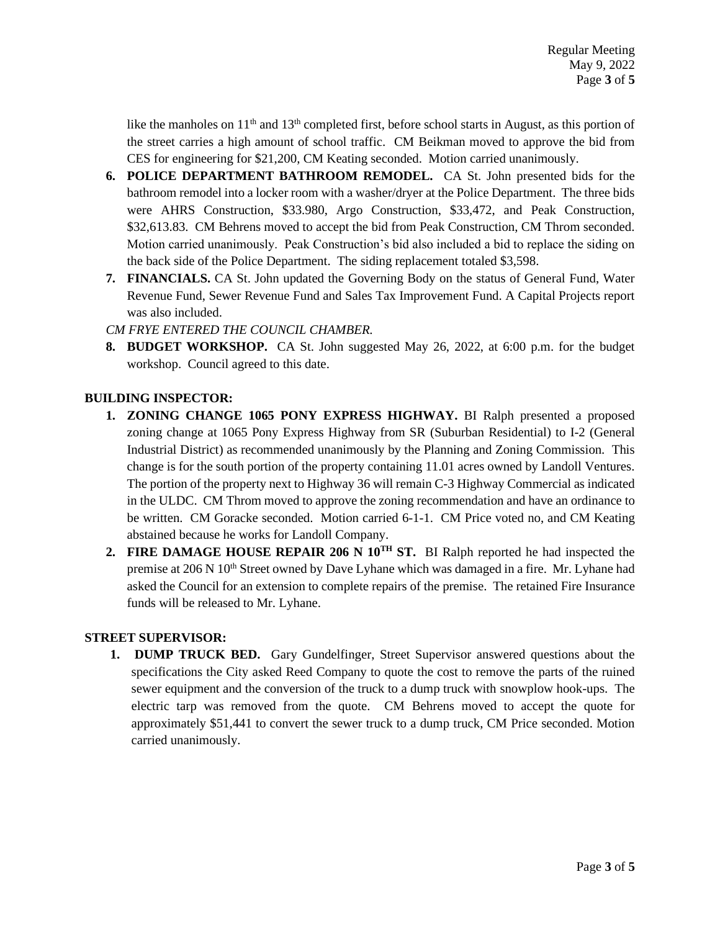like the manholes on  $11<sup>th</sup>$  and  $13<sup>th</sup>$  completed first, before school starts in August, as this portion of the street carries a high amount of school traffic. CM Beikman moved to approve the bid from CES for engineering for \$21,200, CM Keating seconded. Motion carried unanimously.

- **6. POLICE DEPARTMENT BATHROOM REMODEL.** CA St. John presented bids for the bathroom remodel into a locker room with a washer/dryer at the Police Department. The three bids were AHRS Construction, \$33.980, Argo Construction, \$33,472, and Peak Construction, \$32,613.83. CM Behrens moved to accept the bid from Peak Construction, CM Throm seconded. Motion carried unanimously. Peak Construction's bid also included a bid to replace the siding on the back side of the Police Department. The siding replacement totaled \$3,598.
- **7. FINANCIALS.** CA St. John updated the Governing Body on the status of General Fund, Water Revenue Fund, Sewer Revenue Fund and Sales Tax Improvement Fund. A Capital Projects report was also included.

*CM FRYE ENTERED THE COUNCIL CHAMBER.*

**8. BUDGET WORKSHOP.** CA St. John suggested May 26, 2022, at 6:00 p.m. for the budget workshop. Council agreed to this date.

## **BUILDING INSPECTOR:**

- **1. ZONING CHANGE 1065 PONY EXPRESS HIGHWAY.** BI Ralph presented a proposed zoning change at 1065 Pony Express Highway from SR (Suburban Residential) to I-2 (General Industrial District) as recommended unanimously by the Planning and Zoning Commission. This change is for the south portion of the property containing 11.01 acres owned by Landoll Ventures. The portion of the property next to Highway 36 will remain C-3 Highway Commercial as indicated in the ULDC. CM Throm moved to approve the zoning recommendation and have an ordinance to be written. CM Goracke seconded. Motion carried 6-1-1. CM Price voted no, and CM Keating abstained because he works for Landoll Company.
- **2. FIRE DAMAGE HOUSE REPAIR 206 N 10TH ST.** BI Ralph reported he had inspected the premise at 206 N 10<sup>th</sup> Street owned by Dave Lyhane which was damaged in a fire. Mr. Lyhane had asked the Council for an extension to complete repairs of the premise. The retained Fire Insurance funds will be released to Mr. Lyhane.

### **STREET SUPERVISOR:**

**1. DUMP TRUCK BED.** Gary Gundelfinger, Street Supervisor answered questions about the specifications the City asked Reed Company to quote the cost to remove the parts of the ruined sewer equipment and the conversion of the truck to a dump truck with snowplow hook-ups. The electric tarp was removed from the quote. CM Behrens moved to accept the quote for approximately \$51,441 to convert the sewer truck to a dump truck, CM Price seconded. Motion carried unanimously.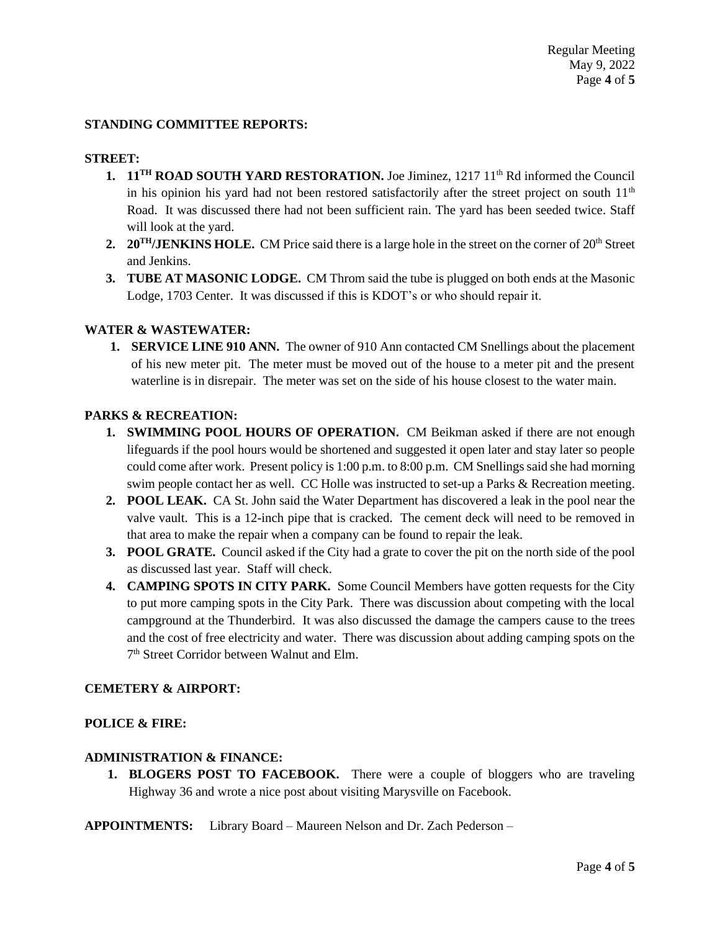### **STANDING COMMITTEE REPORTS:**

#### **STREET:**

- **1. 11<sup>TH</sup> ROAD SOUTH YARD RESTORATION.** Joe Jiminez, 1217 11<sup>th</sup> Rd informed the Council in his opinion his yard had not been restored satisfactorily after the street project on south 11<sup>th</sup> Road. It was discussed there had not been sufficient rain. The yard has been seeded twice. Staff will look at the yard.
- 2. **20<sup>TH</sup>/JENKINS HOLE.** CM Price said there is a large hole in the street on the corner of 20<sup>th</sup> Street and Jenkins.
- **3. TUBE AT MASONIC LODGE.** CM Throm said the tube is plugged on both ends at the Masonic Lodge, 1703 Center. It was discussed if this is KDOT's or who should repair it.

#### **WATER & WASTEWATER:**

**1. SERVICE LINE 910 ANN.** The owner of 910 Ann contacted CM Snellings about the placement of his new meter pit. The meter must be moved out of the house to a meter pit and the present waterline is in disrepair. The meter was set on the side of his house closest to the water main.

#### **PARKS & RECREATION:**

- **1. SWIMMING POOL HOURS OF OPERATION.** CM Beikman asked if there are not enough lifeguards if the pool hours would be shortened and suggested it open later and stay later so people could come after work. Present policy is 1:00 p.m. to 8:00 p.m. CM Snellings said she had morning swim people contact her as well. CC Holle was instructed to set-up a Parks & Recreation meeting.
- **2. POOL LEAK.** CA St. John said the Water Department has discovered a leak in the pool near the valve vault. This is a 12-inch pipe that is cracked. The cement deck will need to be removed in that area to make the repair when a company can be found to repair the leak.
- **3. POOL GRATE.** Council asked if the City had a grate to cover the pit on the north side of the pool as discussed last year. Staff will check.
- **4. CAMPING SPOTS IN CITY PARK.** Some Council Members have gotten requests for the City to put more camping spots in the City Park. There was discussion about competing with the local campground at the Thunderbird. It was also discussed the damage the campers cause to the trees and the cost of free electricity and water. There was discussion about adding camping spots on the 7 th Street Corridor between Walnut and Elm.

### **CEMETERY & AIRPORT:**

#### **POLICE & FIRE:**

### **ADMINISTRATION & FINANCE:**

**1. BLOGERS POST TO FACEBOOK.** There were a couple of bloggers who are traveling Highway 36 and wrote a nice post about visiting Marysville on Facebook.

**APPOINTMENTS:** Library Board – Maureen Nelson and Dr. Zach Pederson –